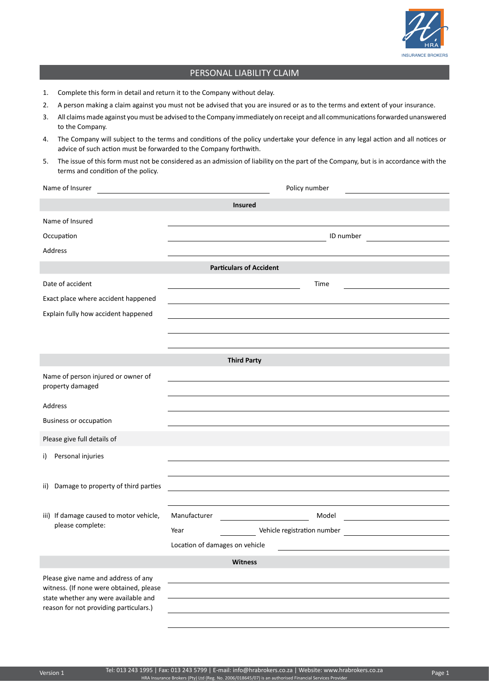

## PERSONAL LIABILITY CLAIM

- 1. Complete this form in detail and return it to the Company without delay.
- 2. A person making a claim against you must not be advised that you are insured or as to the terms and extent of your insurance.
- 3. All claims made against you must be advised to the Company immediately on receipt and all communications forwarded unanswered to the Company.
- 4. The Company will subject to the terms and conditions of the policy undertake your defence in any legal action and all notices or advice of such action must be forwarded to the Company forthwith.
- 5. The issue of this form must not be considered as an admission of liability on the part of the Company, but is in accordance with the terms and condition of the policy.

| Name of Insurer                                                                | Policy number                                                                                                                                          |  |  |
|--------------------------------------------------------------------------------|--------------------------------------------------------------------------------------------------------------------------------------------------------|--|--|
| <b>Insured</b>                                                                 |                                                                                                                                                        |  |  |
| Name of Insured                                                                |                                                                                                                                                        |  |  |
| Occupation                                                                     | ID number                                                                                                                                              |  |  |
| Address                                                                        |                                                                                                                                                        |  |  |
|                                                                                | <b>Particulars of Accident</b>                                                                                                                         |  |  |
| Date of accident                                                               | Time                                                                                                                                                   |  |  |
| Exact place where accident happened                                            |                                                                                                                                                        |  |  |
| Explain fully how accident happened                                            |                                                                                                                                                        |  |  |
|                                                                                |                                                                                                                                                        |  |  |
|                                                                                |                                                                                                                                                        |  |  |
| <b>Third Party</b>                                                             |                                                                                                                                                        |  |  |
| Name of person injured or owner of<br>property damaged                         |                                                                                                                                                        |  |  |
| Address                                                                        |                                                                                                                                                        |  |  |
| <b>Business or occupation</b>                                                  |                                                                                                                                                        |  |  |
| Please give full details of                                                    |                                                                                                                                                        |  |  |
|                                                                                |                                                                                                                                                        |  |  |
| Personal injuries<br>i)                                                        |                                                                                                                                                        |  |  |
|                                                                                |                                                                                                                                                        |  |  |
| ii) Damage to property of third parties                                        |                                                                                                                                                        |  |  |
| iii) If damage caused to motor vehicle,                                        | Manufacturer<br>Model<br><u> 1990 - Jan Barbara Barat, politik e</u><br><u> 1989 - Jan Barnett, fransk politiker (</u>                                 |  |  |
| please complete:                                                               | Year                                                                                                                                                   |  |  |
|                                                                                | Location of damages on vehicle<br><u> 1989 - Johann Stein, marwolaethau a bhann an t-Amhainn an t-Amhainn an t-Amhainn an t-Amhainn an t-Amhainn a</u> |  |  |
| Witness                                                                        |                                                                                                                                                        |  |  |
| Please give name and address of any                                            |                                                                                                                                                        |  |  |
| witness. (If none were obtained, please                                        |                                                                                                                                                        |  |  |
| state whether any were available and<br>reason for not providing particulars.) |                                                                                                                                                        |  |  |
|                                                                                |                                                                                                                                                        |  |  |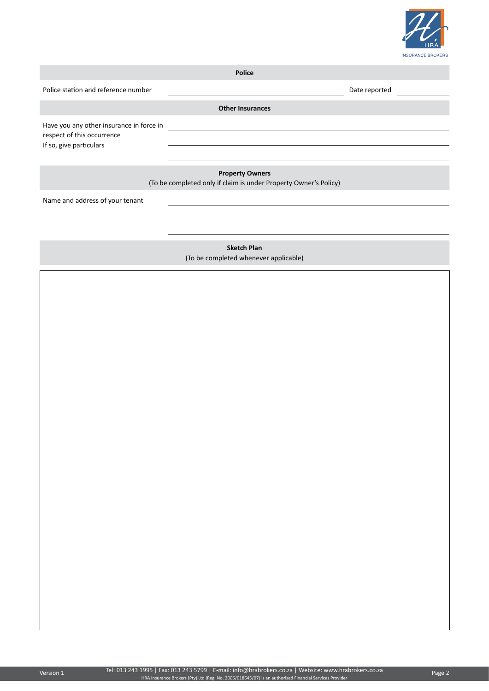

| <b>Police</b>                                                                                     |                                       |               |  |
|---------------------------------------------------------------------------------------------------|---------------------------------------|---------------|--|
| Police station and reference number                                                               |                                       | Date reported |  |
|                                                                                                   | <b>Other Insurances</b>               |               |  |
| Have you any other insurance in force in<br>respect of this occurrence<br>If so, give particulars |                                       |               |  |
|                                                                                                   |                                       |               |  |
| <b>Property Owners</b><br>(To be completed only if claim is under Property Owner's Policy)        |                                       |               |  |
| Name and address of your tenant                                                                   |                                       |               |  |
|                                                                                                   |                                       |               |  |
|                                                                                                   |                                       |               |  |
| <b>Sketch Plan</b>                                                                                |                                       |               |  |
|                                                                                                   | (To be completed whenever applicable) |               |  |